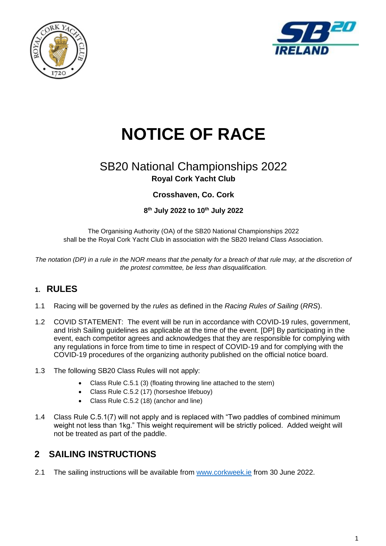



# **NOTICE OF RACE**

## SB20 National Championships 2022 **Royal Cork Yacht Club**

#### **Crosshaven, Co. Cork**

#### **8 th July 2022 to 10th July 2022**

The Organising Authority (OA) of the SB20 National Championships 2022 shall be the Royal Cork Yacht Club in association with the SB20 Ireland Class Association.

*The notation (DP) in a rule in the NOR means that the penalty for a breach of that rule may, at the discretion of the protest committee, be less than disqualification.*

#### **1. RULES**

- 1.1 Racing will be governed by the *rules* as defined in the *Racing Rules of Sailing* (*RRS*).
- 1.2 COVID STATEMENT: The event will be run in accordance with COVID-19 rules, government, and Irish Sailing guidelines as applicable at the time of the event. [DP] By participating in the event, each competitor agrees and acknowledges that they are responsible for complying with any regulations in force from time to time in respect of COVID-19 and for complying with the COVID-19 procedures of the organizing authority published on the official notice board.
- 1.3 The following SB20 Class Rules will not apply:
	- Class Rule C.5.1 (3) (floating throwing line attached to the stern)
	- Class Rule C.5.2 (17) (horseshoe lifebuoy)
	- Class Rule C.5.2 (18) (anchor and line)
- 1.4 Class Rule C.5.1(7) will not apply and is replaced with "Two paddles of combined minimum weight not less than 1kg." This weight requirement will be strictly policed. Added weight will not be treated as part of the paddle.

## **2 SAILING INSTRUCTIONS**

2.1 The sailing instructions will be available from [www.corkweek.ie](http://www.corkweek.ie/) from 30 June 2022.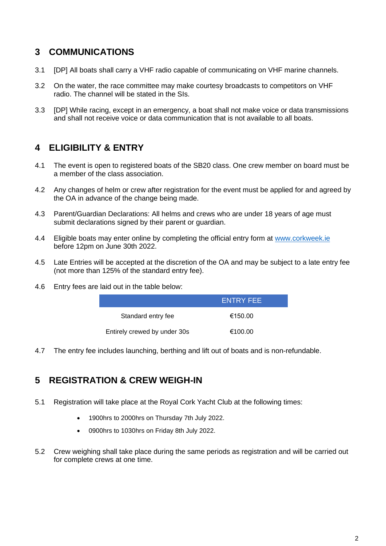### **3 COMMUNICATIONS**

- 3.1 [DP] All boats shall carry a VHF radio capable of communicating on VHF marine channels.
- 3.2 On the water, the race committee may make courtesy broadcasts to competitors on VHF radio. The channel will be stated in the SIs.
- 3.3 [DP] While racing, except in an emergency, a boat shall not make voice or data transmissions and shall not receive voice or data communication that is not available to all boats.

## **4 ELIGIBILITY & ENTRY**

- 4.1 The event is open to registered boats of the SB20 class. One crew member on board must be a member of the class association.
- 4.2 Any changes of helm or crew after registration for the event must be applied for and agreed by the OA in advance of the change being made.
- 4.3 Parent/Guardian Declarations: All helms and crews who are under 18 years of age must submit declarations signed by their parent or guardian.
- 4.4 Eligible boats may enter online by completing the official entry form at [www.corkweek.ie](file:///C:/Users/Rosscoe/Google%20Drive/Sailing/CW2022/Race%20Documents/NORs/Collateral/www.corkweek.ie) before 12pm on June 30th 2022.
- 4.5 Late Entries will be accepted at the discretion of the OA and may be subject to a late entry fee (not more than 125% of the standard entry fee).
- 4.6 Entry fees are laid out in the table below:

| <b>ENTRY FEE</b>             |         |
|------------------------------|---------|
| Standard entry fee           | €150.00 |
| Entirely crewed by under 30s | €100.00 |

4.7 The entry fee includes launching, berthing and lift out of boats and is non-refundable.

## **5 REGISTRATION & CREW WEIGH-IN**

- 5.1 Registration will take place at the Royal Cork Yacht Club at the following times:
	- 1900hrs to 2000hrs on Thursday 7th July 2022.
	- 0900hrs to 1030hrs on Friday 8th July 2022.
- 5.2 Crew weighing shall take place during the same periods as registration and will be carried out for complete crews at one time.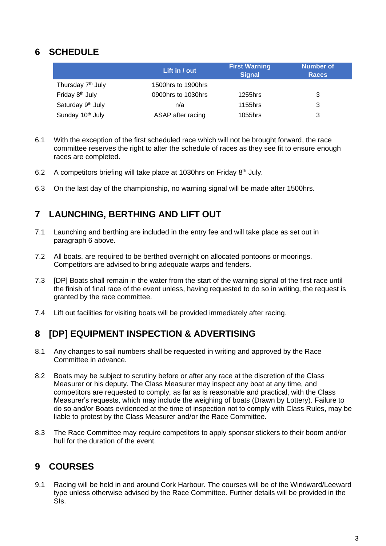## **6 SCHEDULE**

|                               | Lift in / out      | <b>First Warning</b><br><b>Signal</b> | <b>Number of</b><br><b>Races</b> |
|-------------------------------|--------------------|---------------------------------------|----------------------------------|
| Thursday 7 <sup>th</sup> July | 1500hrs to 1900hrs |                                       |                                  |
| Friday 8 <sup>th</sup> July   | 0900hrs to 1030hrs | 1255hrs                               | 3                                |
| Saturday 9 <sup>th</sup> July | n/a                | 1155hrs                               | 3                                |
| Sunday 10 <sup>th</sup> July  | ASAP after racing  | 1055hrs                               |                                  |

- 6.1 With the exception of the first scheduled race which will not be brought forward, the race committee reserves the right to alter the schedule of races as they see fit to ensure enough races are completed.
- 6.2 A competitors briefing will take place at 1030hrs on Friday  $8<sup>th</sup>$  July.
- 6.3 On the last day of the championship, no warning signal will be made after 1500hrs.

## **7 LAUNCHING, BERTHING AND LIFT OUT**

- 7.1 Launching and berthing are included in the entry fee and will take place as set out in paragraph 6 above.
- 7.2 All boats, are required to be berthed overnight on allocated pontoons or moorings. Competitors are advised to bring adequate warps and fenders.
- 7.3 [DP] Boats shall remain in the water from the start of the warning signal of the first race until the finish of final race of the event unless, having requested to do so in writing, the request is granted by the race committee.
- 7.4 Lift out facilities for visiting boats will be provided immediately after racing.

#### **8 [DP] EQUIPMENT INSPECTION & ADVERTISING**

- 8.1 Any changes to sail numbers shall be requested in writing and approved by the Race Committee in advance.
- 8.2 Boats may be subject to scrutiny before or after any race at the discretion of the Class Measurer or his deputy. The Class Measurer may inspect any boat at any time, and competitors are requested to comply, as far as is reasonable and practical, with the Class Measurer's requests, which may include the weighing of boats (Drawn by Lottery). Failure to do so and/or Boats evidenced at the time of inspection not to comply with Class Rules, may be liable to protest by the Class Measurer and/or the Race Committee.
- 8.3 The Race Committee may require competitors to apply sponsor stickers to their boom and/or hull for the duration of the event.

## **9 COURSES**

9.1 Racing will be held in and around Cork Harbour. The courses will be of the Windward/Leeward type unless otherwise advised by the Race Committee. Further details will be provided in the SIs.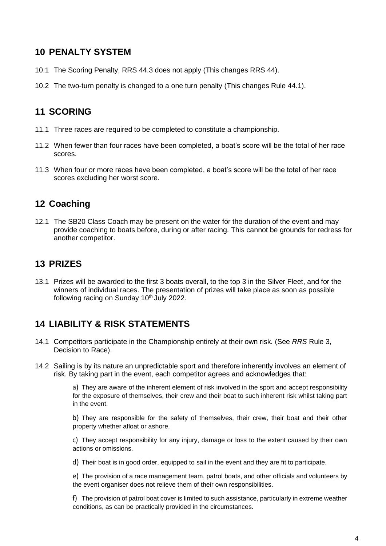### **10 PENALTY SYSTEM**

- 10.1 The Scoring Penalty, RRS 44.3 does not apply (This changes RRS 44).
- 10.2 The two-turn penalty is changed to a one turn penalty (This changes Rule 44.1).

## **11 SCORING**

- 11.1 Three races are required to be completed to constitute a championship.
- 11.2 When fewer than four races have been completed, a boat's score will be the total of her race scores.
- 11.3 When four or more races have been completed, a boat's score will be the total of her race scores excluding her worst score.

## **12 Coaching**

12.1 The SB20 Class Coach may be present on the water for the duration of the event and may provide coaching to boats before, during or after racing. This cannot be grounds for redress for another competitor.

## **13 PRIZES**

13.1 Prizes will be awarded to the first 3 boats overall, to the top 3 in the Silver Fleet, and for the winners of individual races. The presentation of prizes will take place as soon as possible following racing on Sunday 10<sup>th</sup> July 2022.

#### **14 LIABILITY & RISK STATEMENTS**

- 14.1 Competitors participate in the Championship entirely at their own risk. (See *RRS* Rule 3, Decision to Race).
- 14.2 Sailing is by its nature an unpredictable sport and therefore inherently involves an element of risk. By taking part in the event, each competitor agrees and acknowledges that:

a) They are aware of the inherent element of risk involved in the sport and accept responsibility for the exposure of themselves, their crew and their boat to such inherent risk whilst taking part in the event.

b) They are responsible for the safety of themselves, their crew, their boat and their other property whether afloat or ashore.

c) They accept responsibility for any injury, damage or loss to the extent caused by their own actions or omissions.

d) Their boat is in good order, equipped to sail in the event and they are fit to participate.

e) The provision of a race management team, patrol boats, and other officials and volunteers by the event organiser does not relieve them of their own responsibilities.

f) The provision of patrol boat cover is limited to such assistance, particularly in extreme weather conditions, as can be practically provided in the circumstances.